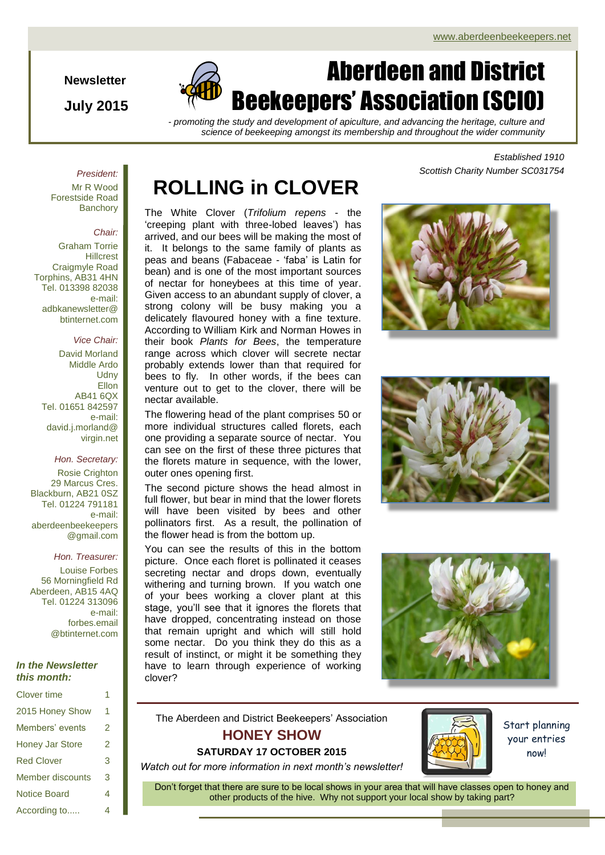**Newsletter**

**July 2015**

# Aberdeen and District Beekeepers' Association (SCIO)

*- promoting the study and development of apiculture, and advancing the heritage, culture and science of beekeeping amongst its membership and throughout the wider community*

### *President:*

Mr R Wood Forestside Road **Banchory** 

#### *Chair:*

Graham Torrie **Hillcrest** Craigmyle Road Torphins, AB31 4HN Tel. 013398 82038 e-mail: adbkanewsletter@ btinternet.com

### *Vice Chair:*

David Morland Middle Ardo **Udny Ellon** AB41 6QX Tel. 01651 842597 e-mail: david.j.morland@ virgin.net

#### *Hon. Secretary:*

Rosie Crighton 29 Marcus Cres. Blackburn, AB21 0SZ Tel. 01224 791181 e-mail: aberdeenbeekeepers @gmail.com

#### *Hon. Treasurer:*

Louise Forbes 56 Morningfield Rd Aberdeen, AB15 4AQ Tel. 01224 313096 e-mail: forbes.email @btinternet.com

#### *In the Newsletter this month:*

| <b>Clover time</b>      | 1 |
|-------------------------|---|
| 2015 Honey Show         | 1 |
| Members' events         | 2 |
| <b>Honey Jar Store</b>  | 2 |
| <b>Red Clover</b>       | 3 |
| <b>Member discounts</b> | 3 |
| <b>Notice Board</b>     | 4 |
| According to            | 4 |

# **ROLLING in CLOVER**

The White Clover (*Trifolium repens* - the 'creeping plant with three-lobed leaves') has arrived, and our bees will be making the most of it. It belongs to the same family of plants as peas and beans (Fabaceae - 'faba' is Latin for bean) and is one of the most important sources of nectar for honeybees at this time of year. Given access to an abundant supply of clover, a strong colony will be busy making you a delicately flavoured honey with a fine texture. According to William Kirk and Norman Howes in their book *Plants for Bees*, the temperature range across which clover will secrete nectar probably extends lower than that required for bees to fly. In other words, if the bees can venture out to get to the clover, there will be nectar available.

The flowering head of the plant comprises 50 or more individual structures called florets, each one providing a separate source of nectar. You can see on the first of these three pictures that the florets mature in sequence, with the lower, outer ones opening first.

The second picture shows the head almost in full flower, but bear in mind that the lower florets will have been visited by bees and other pollinators first. As a result, the pollination of the flower head is from the bottom up.

You can see the results of this in the bottom picture. Once each floret is pollinated it ceases secreting nectar and drops down, eventually withering and turning brown. If you watch one of your bees working a clover plant at this stage, you'll see that it ignores the florets that have dropped, concentrating instead on those that remain upright and which will still hold some nectar. Do you think they do this as a result of instinct, or might it be something they have to learn through experience of working clover?

*Established 1910 Scottish Charity Number SC031754*







The Aberdeen and District Beekeepers' Association

# **HONEY SHOW**

# **SATURDAY 17 OCTOBER 2015**

*Watch out for more information in next month's newsletter!*



Start planning your entries now!

Don't forget that there are sure to be local shows in your area that will have classes open to honey and other products of the hive. Why not support your local show by taking part?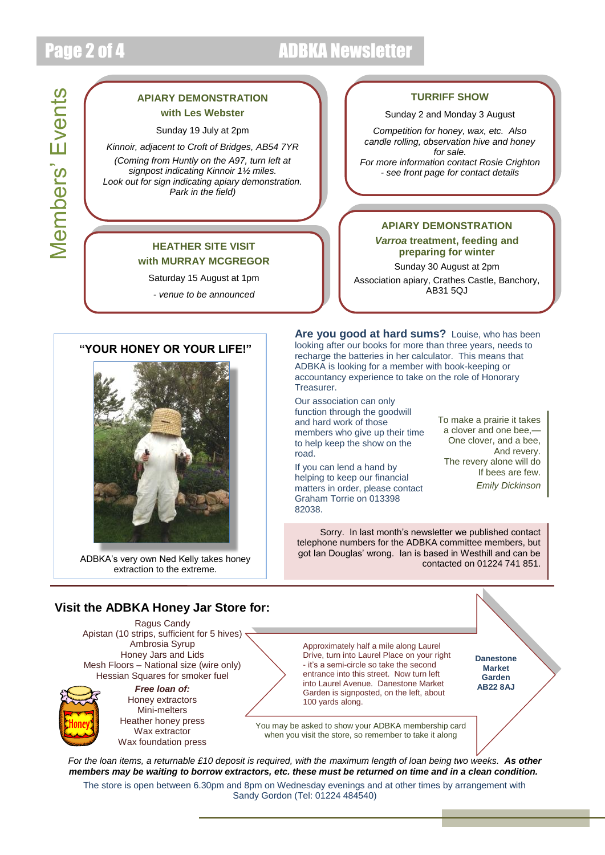Members' Events

**Members' Events** 

# Page 2 of 4 ADBKA Newsletter

## **APIARY DEMONSTRATION with Les Webster**

Sunday 19 July at 2pm

*Kinnoir, adjacent to Croft of Bridges, AB54 7YR (Coming from Huntly on the A97, turn left at signpost indicating Kinnoir 1½ miles. Look out for sign indicating apiary demonstration. Park in the field)*

## **HEATHER SITE VISIT with MURRAY MCGREGOR**

Saturday 15 August at 1pm

*- venue to be announced*

## **TURRIFF SHOW**

#### Sunday 2 and Monday 3 August

*Competition for honey, wax, etc. Also candle rolling, observation hive and honey for sale.*

*For more information contact Rosie Crighton - see front page for contact details*

## **APIARY DEMONSTRATION**

*Varroa* **treatment, feeding and preparing for winter**

Sunday 30 August at 2pm Association apiary, Crathes Castle, Banchory, AB31 5QJ

### **"YOUR HONEY OR YOUR LIFE!"**



ADBKA's very own Ned Kelly takes honey extraction to the extreme.

**Are you good at hard sums?** Louise, who has been looking after our books for more than three years, needs to recharge the batteries in her calculator. This means that ADBKA is looking for a member with book-keeping or accountancy experience to take on the role of Honorary Treasurer.

Our association can only function through the goodwill and hard work of those members who give up their time to help keep the show on the road.

If you can lend a hand by helping to keep our financial matters in order, please contact Graham Torrie on 013398 82038.

To make a prairie it takes a clover and one bee,— One clover, and a bee, And revery. The revery alone will do If bees are few. *Emily Dickinson*

Sorry. In last month's newsletter we published contact telephone numbers for the ADBKA committee members, but got Ian Douglas' wrong. Ian is based in Westhill and can be contacted on 01224 741 851.

## **Visit the ADBKA Honey Jar Store for:**

Ragus Candy Apistan (10 strips, sufficient for 5 hives) < Ambrosia Syrup Honey Jars and Lids Mesh Floors – National size (wire only) Hessian Squares for smoker fuel



*Free loan of:* Honey extractors Mini-melters Heather honey press Wax extractor Wax foundation press Approximately half a mile along Laurel Drive, turn into Laurel Place on your right - it's a semi-circle so take the second entrance into this street. Now turn left into Laurel Avenue. Danestone Market Garden is signposted, on the left, about 100 yards along.

**Danestone Market Garden AB22 8AJ**

You may be asked to show your ADBKA membership card when you visit the store, so remember to take it along

*For the loan items, a returnable £10 deposit is required, with the maximum length of loan being two weeks. As other members may be waiting to borrow extractors, etc. these must be returned on time and in a clean condition.*

The store is open between 6.30pm and 8pm on Wednesday evenings and at other times by arrangement with Sandy Gordon (Tel: 01224 484540)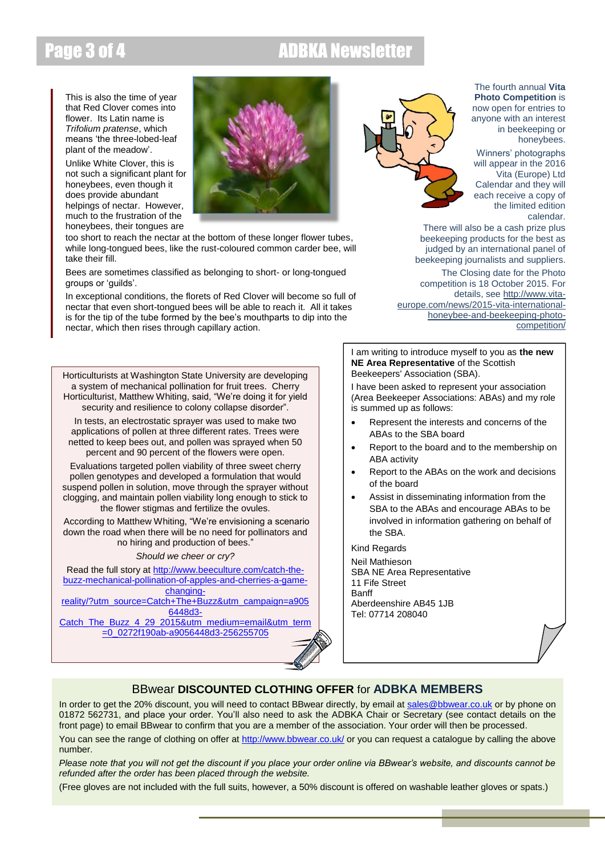# Page 3 of 4 ADBKA Newslette

This is also the time of year that Red Clover comes into flower. Its Latin name is *Trifolium pratense*, which means 'the three-lobed-leaf plant of the meadow'.

Unlike White Clover, this is not such a significant plant for honeybees, even though it does provide abundant helpings of nectar. However, much to the frustration of the honeybees, their tongues are

too short to reach the nectar at the bottom of these longer flower tubes, while long-tongued bees, like the rust-coloured common carder bee, will take their fill.

Bees are sometimes classified as belonging to short- or long-tongued groups or 'guilds'.

In exceptional conditions, the florets of Red Clover will become so full of nectar that even short-tongued bees will be able to reach it. All it takes is for the tip of the tube formed by the bee's mouthparts to dip into the nectar, which then rises through capillary action.

Horticulturists at Washington State University are developing a system of mechanical pollination for fruit trees. Cherry Horticulturist, Matthew Whiting, said, "We're doing it for yield security and resilience to colony collapse disorder".

In tests, an electrostatic sprayer was used to make two applications of pollen at three different rates. Trees were netted to keep bees out, and pollen was sprayed when 50 percent and 90 percent of the flowers were open.

Evaluations targeted pollen viability of three sweet cherry pollen genotypes and developed a formulation that would suspend pollen in solution, move through the sprayer without clogging, and maintain pollen viability long enough to stick to the flower stigmas and fertilize the ovules.

According to Matthew Whiting, "We're envisioning a scenario down the road when there will be no need for pollinators and no hiring and production of bees."

*Should we cheer or cry?*

Read the full story a[t http://www.beeculture.com/catch-the](http://www.beeculture.com/catch-the-buzz-mechanical-pollination-of-apples-and-cherries-a-game-changing-reality/?utm_source=Catch+The+Buzz&utm_campaign=a9056448d3-Catch_The_Buzz_4_29_2015&utm_medium=email&utm_term=0_0272f190ab-a9056448d3-256255705)[buzz-mechanical-pollination-of-apples-and-cherries-a-game](http://www.beeculture.com/catch-the-buzz-mechanical-pollination-of-apples-and-cherries-a-game-changing-reality/?utm_source=Catch+The+Buzz&utm_campaign=a9056448d3-Catch_The_Buzz_4_29_2015&utm_medium=email&utm_term=0_0272f190ab-a9056448d3-256255705)[changing-](http://www.beeculture.com/catch-the-buzz-mechanical-pollination-of-apples-and-cherries-a-game-changing-reality/?utm_source=Catch+The+Buzz&utm_campaign=a9056448d3-Catch_The_Buzz_4_29_2015&utm_medium=email&utm_term=0_0272f190ab-a9056448d3-256255705)

[reality/?utm\\_source=Catch+The+Buzz&utm\\_campaign=a905](http://www.beeculture.com/catch-the-buzz-mechanical-pollination-of-apples-and-cherries-a-game-changing-reality/?utm_source=Catch+The+Buzz&utm_campaign=a9056448d3-Catch_The_Buzz_4_29_2015&utm_medium=email&utm_term=0_0272f190ab-a9056448d3-256255705) [6448d3-](http://www.beeculture.com/catch-the-buzz-mechanical-pollination-of-apples-and-cherries-a-game-changing-reality/?utm_source=Catch+The+Buzz&utm_campaign=a9056448d3-Catch_The_Buzz_4_29_2015&utm_medium=email&utm_term=0_0272f190ab-a9056448d3-256255705)

[Catch\\_The\\_Buzz\\_4\\_29\\_2015&utm\\_medium=email&utm\\_term](http://www.beeculture.com/catch-the-buzz-mechanical-pollination-of-apples-and-cherries-a-game-changing-reality/?utm_source=Catch+The+Buzz&utm_campaign=a9056448d3-Catch_The_Buzz_4_29_2015&utm_medium=email&utm_term=0_0272f190ab-a9056448d3-256255705) [=0\\_0272f190ab-a9056448d3-256255705](http://www.beeculture.com/catch-the-buzz-mechanical-pollination-of-apples-and-cherries-a-game-changing-reality/?utm_source=Catch+The+Buzz&utm_campaign=a9056448d3-Catch_The_Buzz_4_29_2015&utm_medium=email&utm_term=0_0272f190ab-a9056448d3-256255705)



The fourth annual **Vita Photo Competition** is now open for entries to anyone with an interest in beekeeping or honeybees.

Winners' photographs will appear in the 2016 Vita (Europe) Ltd Calendar and they will each receive a copy of the limited edition calendar.

There will also be a cash prize plus beekeeping products for the best as judged by an international panel of beekeeping journalists and suppliers.

The Closing date for the Photo competition is 18 October 2015. For details, see [http://www.vita](http://www.vita-europe.com/news/2015-vita-international-honeybee-and-beekeeping-photo-competition/)[europe.com/news/2015-vita-international](http://www.vita-europe.com/news/2015-vita-international-honeybee-and-beekeeping-photo-competition/)[honeybee-and-beekeeping-photo](http://www.vita-europe.com/news/2015-vita-international-honeybee-and-beekeeping-photo-competition/)[competition/](http://www.vita-europe.com/news/2015-vita-international-honeybee-and-beekeeping-photo-competition/)

I am writing to introduce myself to you as **the new NE Area Representative** of the Scottish Beekeepers' Association (SBA).

I have been asked to represent your association (Area Beekeeper Associations: ABAs) and my role is summed up as follows:

- Represent the interests and concerns of the ABAs to the SBA board
- Report to the board and to the membership on ABA activity
- Report to the ABAs on the work and decisions of the board
- Assist in disseminating information from the SBA to the ABAs and encourage ABAs to be involved in information gathering on behalf of the SBA.

Kind Regards

Neil Mathieson SBA NE Area Representative 11 Fife Street **Banff** Aberdeenshire AB45 1JB Tel: 07714 208040

# BBwear **DISCOUNTED CLOTHING OFFER** for **ADBKA MEMBERS**

In order to get the 20% discount, you will need to contact BBwear directly, by email at [sales@bbwear.co.uk](mailto:sales@bbwear.co.uk) or by phone on 01872 562731, and place your order. You'll also need to ask the ADBKA Chair or Secretary (see contact details on the front page) to email BBwear to confirm that you are a member of the association. Your order will then be processed.

You can see the range of clothing on offer at<http://www.bbwear.co.uk/> or you can request a catalogue by calling the above number.

*Please note that you will not get the discount if you place your order online via BBwear's website, and discounts cannot be refunded after the order has been placed through the website.*

(Free gloves are not included with the full suits, however, a 50% discount is offered on washable leather gloves or spats.)